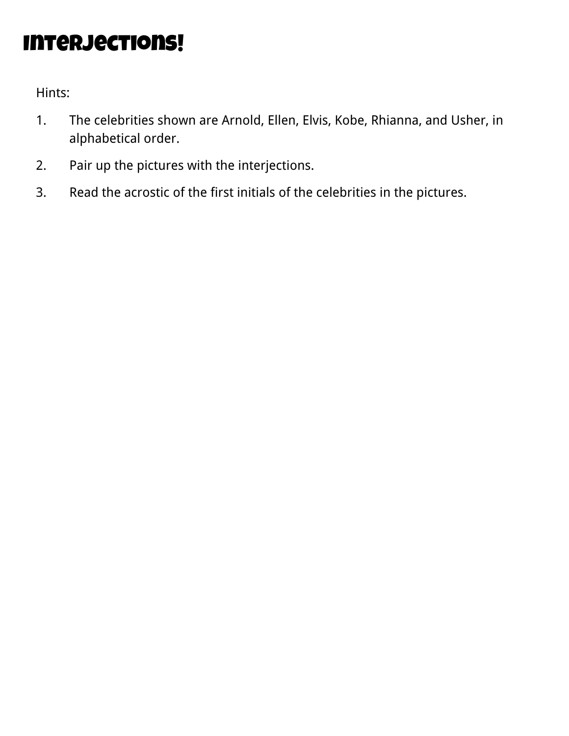## Interjections!

- 1. The celebrities shown are Arnold, Ellen, Elvis, Kobe, Rhianna, and Usher, in alphabetical order.
- 2. Pair up the pictures with the interjections.
- 3. Read the acrostic of the first initials of the celebrities in the pictures.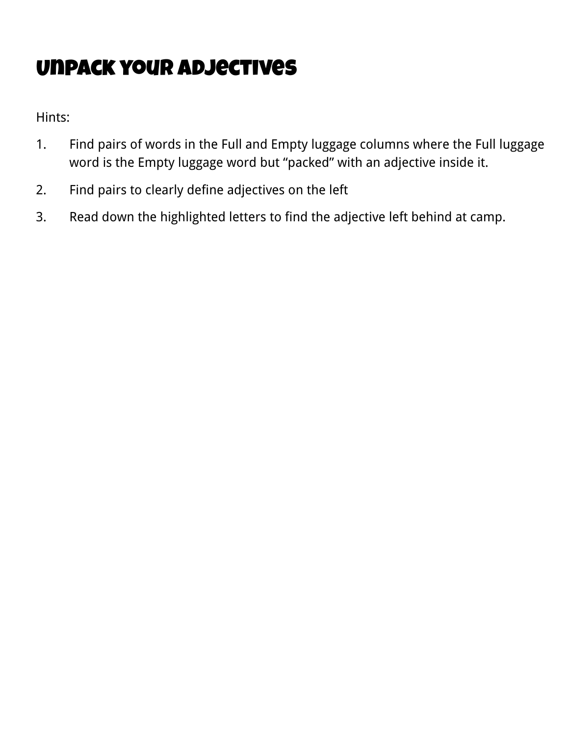# Unpack your adjectives

- 1. Find pairs of words in the Full and Empty luggage columns where the Full luggage word is the Empty luggage word but "packed" with an adjective inside it.
- 2. Find pairs to clearly define adjectives on the left
- 3. Read down the highlighted letters to find the adjective left behind at camp.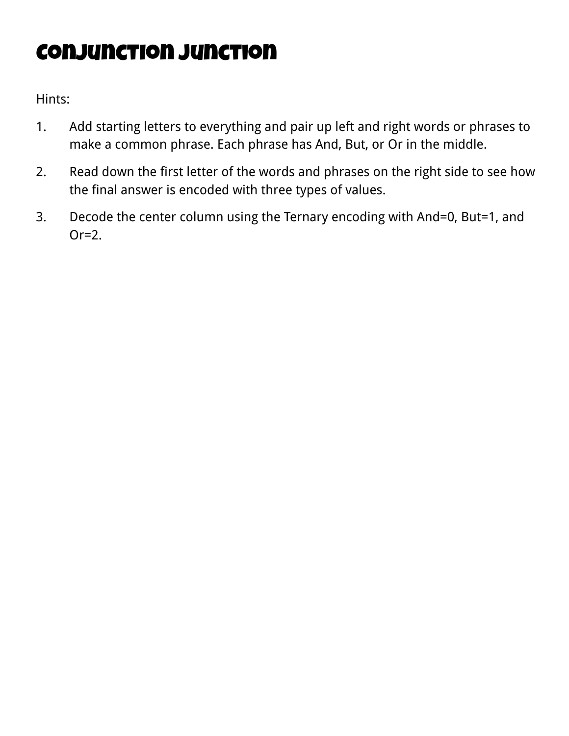# Conjunction Junction

- 1. Add starting letters to everything and pair up left and right words or phrases to make a common phrase. Each phrase has And, But, or Or in the middle.
- 2. Read down the first letter of the words and phrases on the right side to see how the final answer is encoded with three types of values.
- 3. Decode the center column using the Ternary encoding with And=0, But=1, and  $Or=2$ .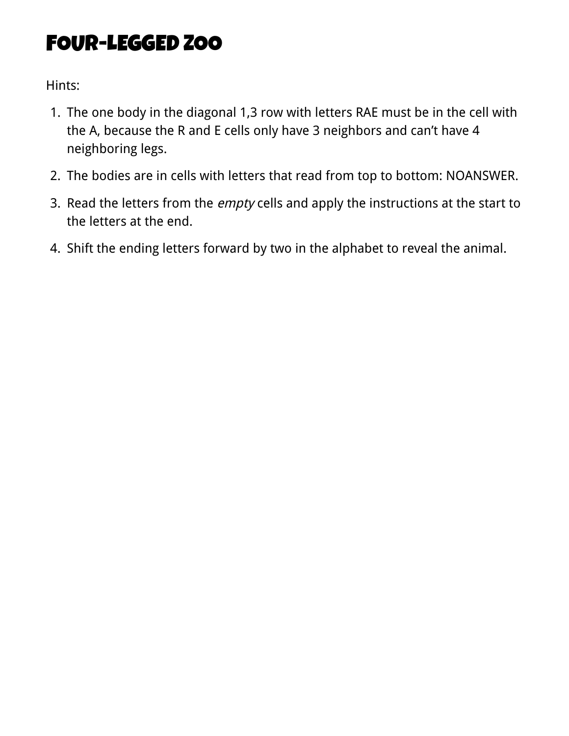#### FOUR-LEGGED ZOO

- 1. The one body in the diagonal 1,3 row with letters RAE must be in the cell with the A, because the R and E cells only have 3 neighbors and can't have 4 neighboring legs.
- 2. The bodies are in cells with letters that read from top to bottom: NOANSWER.
- 3. Read the letters from the *empty* cells and apply the instructions at the start to the letters at the end.
- 4. Shift the ending letters forward by two in the alphabet to reveal the animal.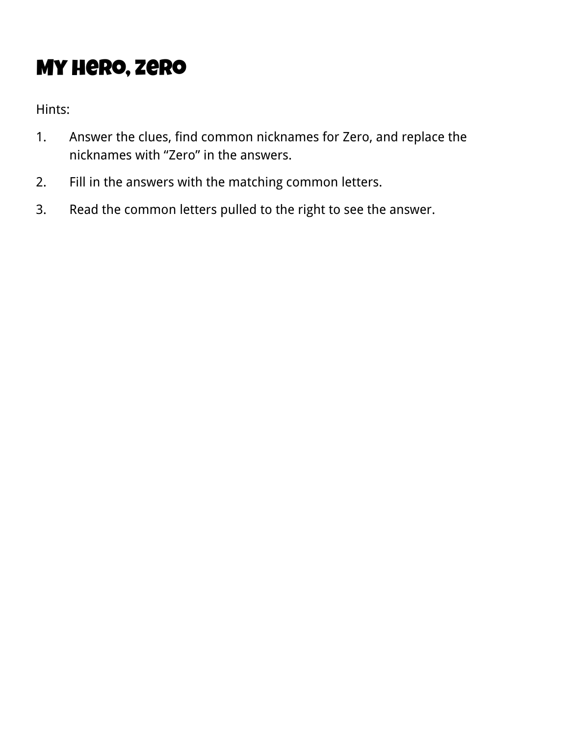# My hero, zero

- 1. Answer the clues, find common nicknames for Zero, and replace the nicknames with "Zero" in the answers.
- 2. Fill in the answers with the matching common letters.
- 3. Read the common letters pulled to the right to see the answer.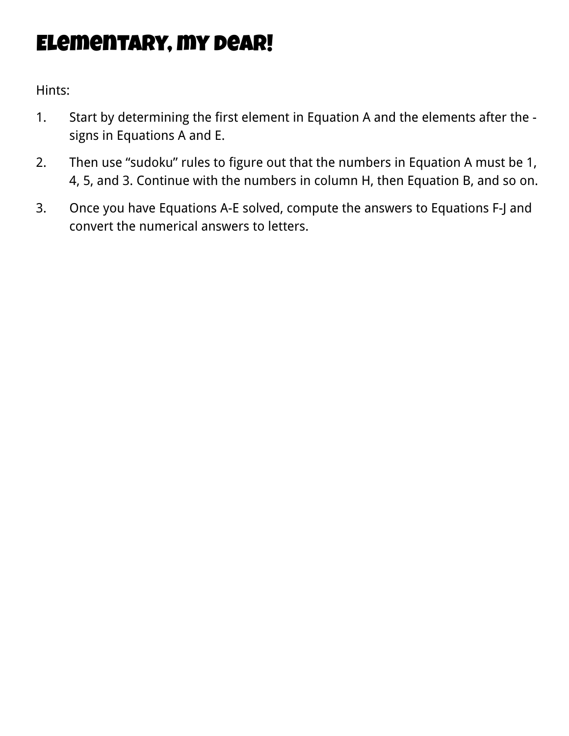### Elementary, my dear!

- 1. Start by determining the first element in Equation A and the elements after the signs in Equations A and E.
- 2. Then use "sudoku" rules to figure out that the numbers in Equation A must be 1, 4, 5, and 3. Continue with the numbers in column H, then Equation B, and so on.
- 3. Once you have Equations A-E solved, compute the answers to Equations F-J and convert the numerical answers to letters.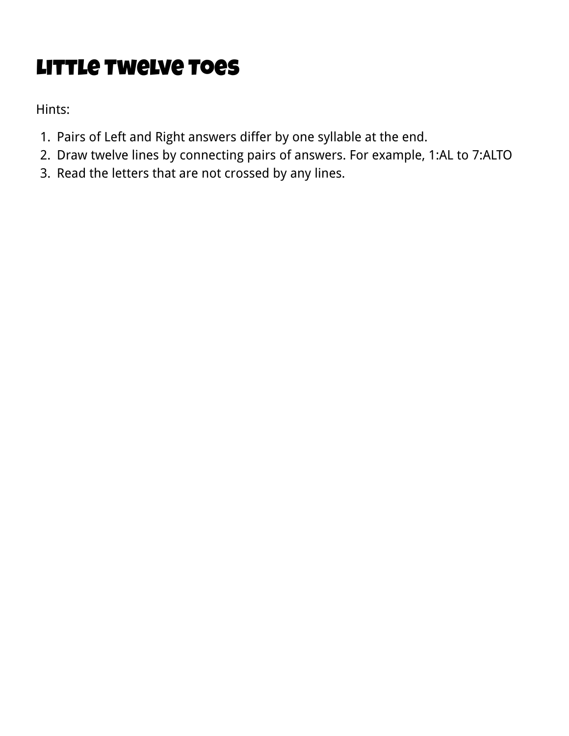# Little Twelve Toes

- 1. Pairs of Left and Right answers differ by one syllable at the end.
- 2. Draw twelve lines by connecting pairs of answers. For example, 1:AL to 7:ALTO
- 3. Read the letters that are not crossed by any lines.